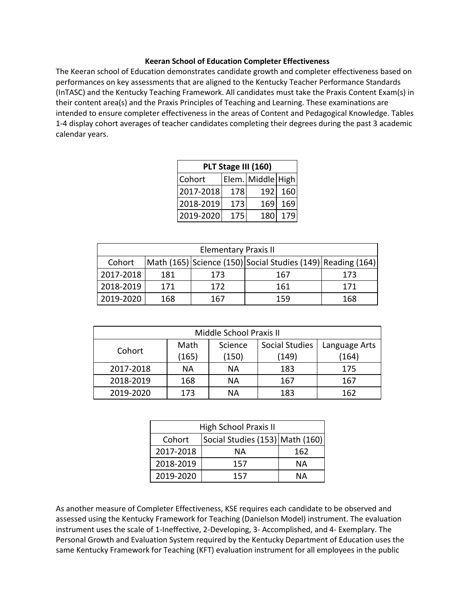## **Keeran School of Education Completer Effectiveness**

The Keeran school of Education demonstrates candidate growth and completer effectiveness based on performances on key assessments that are aligned to the Kentucky Teacher Performance Standards (InTASC) and the Kentucky Teaching Framework. All candidates must take the Praxis Content Exam(s) in their content area(s) and the Praxis Principles of Teaching and Learning. These examinations are intended to ensure completer effectiveness in the areas of Content and Pedagogical Knowledge. Tables 1-4 display cohort averages of teacher candidates completing their degrees during the past 3 academic calendar years.

|           | PLT Stage III (160) |                   |      |  |
|-----------|---------------------|-------------------|------|--|
| Cohort    |                     | Elem. Middle High |      |  |
| 2017-2018 | 178                 | 192               | 160  |  |
| 2018-2019 | 173                 | 169               | 169  |  |
| 2019-2020 | 175                 | 180               | 1791 |  |

| <b>Elementary Praxis II</b> |     |     |                                                             |     |  |
|-----------------------------|-----|-----|-------------------------------------------------------------|-----|--|
| Cohort                      |     |     | Math (165) Science (150) Social Studies (149) Reading (164) |     |  |
| 2017-2018                   | 181 | 173 | 167                                                         | 173 |  |
| 2018-2019                   | 171 | 172 | 161                                                         | 171 |  |
| 2019-2020                   | 168 | 167 | 159                                                         | 168 |  |

| Middle School Praxis II |           |         |                |               |
|-------------------------|-----------|---------|----------------|---------------|
| Cohort                  | Math      | Science | Social Studies | Language Arts |
|                         | (165)     | (150)   | (149)          | (164)         |
| 2017-2018               | ΝA        | ΝA      | 183            | 175           |
| 2018-2019               | 168<br>ΝA |         | 167            | 167           |
| 2019-2020               | 173       | ΝA      | 183            | 162           |

| High School Praxis II |                                 |     |  |
|-----------------------|---------------------------------|-----|--|
| Cohort                | Social Studies (153) Math (160) |     |  |
| 2017-2018             | NА                              | 162 |  |
| 2018-2019             | 157                             | NА  |  |
| 2019-2020             | 157                             | NА  |  |

As another measure of Completer Effectiveness, KSE requires each candidate to be observed and assessed using the Kentucky Framework for Teaching (Danielson Model) instrument. The evaluation instrument uses the scale of 1-Ineffective, 2-Developing, 3- Accomplished, and 4- Exemplary. The Personal Growth and Evaluation System required by the Kentucky Department of Education uses the same Kentucky Framework for Teaching (KFT) evaluation instrument for all employees in the public